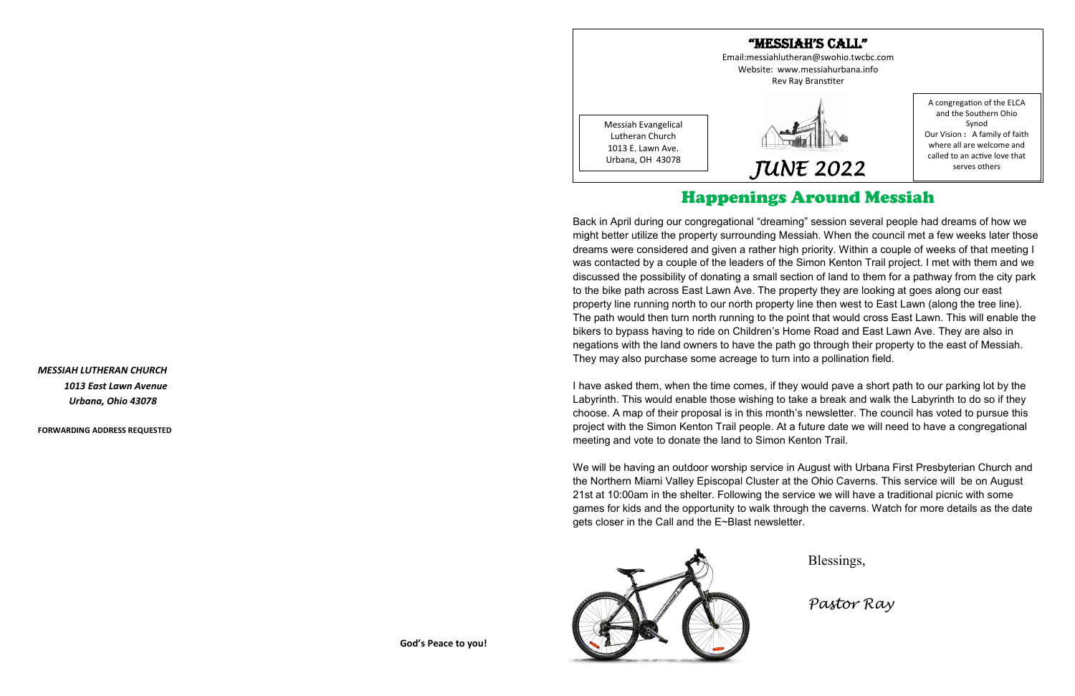*MESSIAH LUTHERAN CHURCH 1013 East Lawn Avenue Urbana, Ohio 43078*

**FORWARDING ADDRESS REQUESTED**

 **God's Peace to you!**

### "Messiah's Call"

Email:messiahlutheran@swohio.twcbc.com Website: www.messiahurbana.info Rev Ray Branstiter

Messiah Evangelical Lutheran Church 1013 E. Lawn Ave. Urbana, OH 43078



A congregation of the ELCA and the Southern Ohio Synod Our Vision **:** A family of faith where all are welcome and called to an active love that

serves others *JUNE 2022* 

Happenings Around Messiah

Back in April during our congregational "dreaming" session several people had dreams of how we might better utilize the property surrounding Messiah. When the council met a few weeks later those dreams were considered and given a rather high priority. Within a couple of weeks of that meeting I was contacted by a couple of the leaders of the Simon Kenton Trail project. I met with them and we discussed the possibility of donating a small section of land to them for a pathway from the city park to the bike path across East Lawn Ave. The property they are looking at goes along our east property line running north to our north property line then west to East Lawn (along the tree line). The path would then turn north running to the point that would cross East Lawn. This will enable the bikers to bypass having to ride on Children's Home Road and East Lawn Ave. They are also in negations with the land owners to have the path go through their property to the east of Messiah. They may also purchase some acreage to turn into a pollination field.

I have asked them, when the time comes, if they would pave a short path to our parking lot by the Labyrinth. This would enable those wishing to take a break and walk the Labyrinth to do so if they choose. A map of their proposal is in this month's newsletter. The council has voted to pursue this project with the Simon Kenton Trail people. At a future date we will need to have a congregational meeting and vote to donate the land to Simon Kenton Trail.

We will be having an outdoor worship service in August with Urbana First Presbyterian Church and the Northern Miami Valley Episcopal Cluster at the Ohio Caverns. This service will be on August 21st at 10:00am in the shelter. Following the service we will have a traditional picnic with some games for kids and the opportunity to walk through the caverns. Watch for more details as the date gets closer in the Call and the E~Blast newsletter.



Blessings,

*Pastor Ray*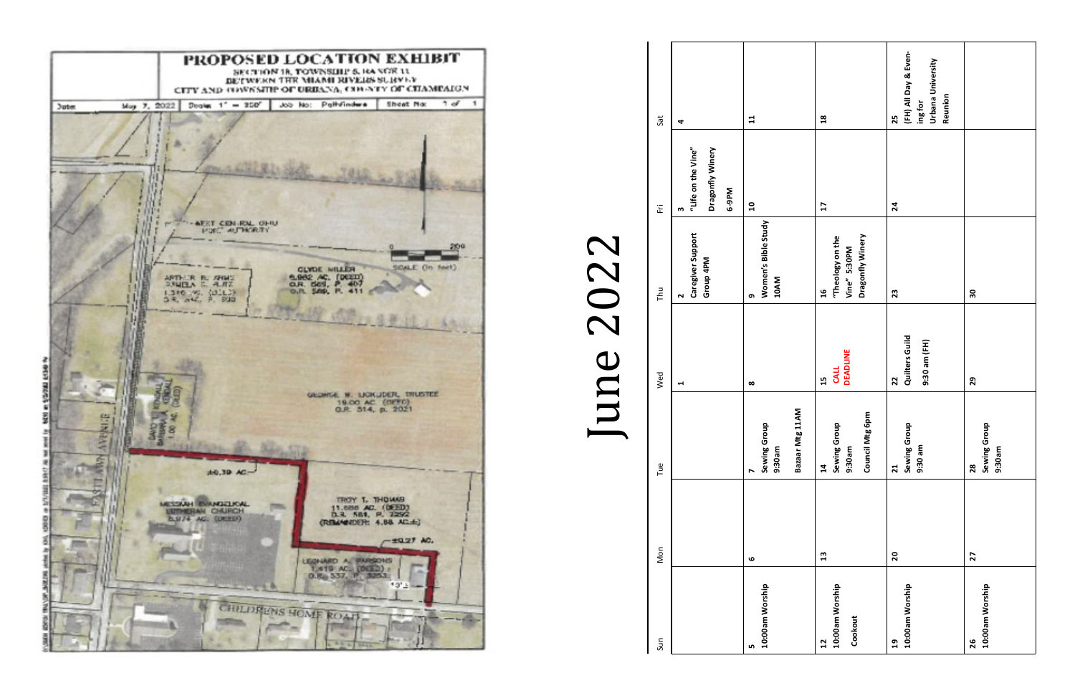

June 2022

| Sun             | Non | Tue                    | Wed | <b>Ly</b>                      | ΈÏ                                          | Sat          |
|-----------------|-----|------------------------|-----|--------------------------------|---------------------------------------------|--------------|
|                 |     |                        |     | Caregiver Support<br>Group 4PM | "Life on the Vine"<br>Dragonfly Winery<br>m |              |
|                 |     |                        |     |                                | 6-9PM                                       |              |
| 10:00am Worship | ھ   | Sewing Group<br>9:30am | ∞   | Women's Bible Study<br>10AM    | ទ                                           | $\mathbf{1}$ |

|                                   |              | Bazaar Mtg 11AM                                             |                                             |                                                                        |              |                                                                       |
|-----------------------------------|--------------|-------------------------------------------------------------|---------------------------------------------|------------------------------------------------------------------------|--------------|-----------------------------------------------------------------------|
| 10:00am Worship<br>Cookout<br>12  | $\mathbf{u}$ | Council Mtg 6pm<br>Sewing Group<br>9:30am<br>$\overline{a}$ | CALL<br>DEADLINE<br><u>ង</u>                | Dragonfly Winery<br>"Theology on the<br>Vine" 5:30PM<br>$\frac{16}{1}$ | $\mathbf{L}$ | $\frac{8}{18}$                                                        |
| 10:00am Worship<br>$\overline{a}$ | 20           | Sewing Group<br>9:30 am<br>$\mathbf{z}_1$                   | <b>Quilters Guild</b><br>9:30 am (FH)<br>22 | 23                                                                     | $\mathbf{z}$ | (FH) All Day & Even-<br>ing for<br>Urbana University<br>Reunion<br>25 |
| 10:00am Worship<br>26             | 27           | Sewing Group<br>9:30am<br>28                                | 29                                          | 30                                                                     |              |                                                                       |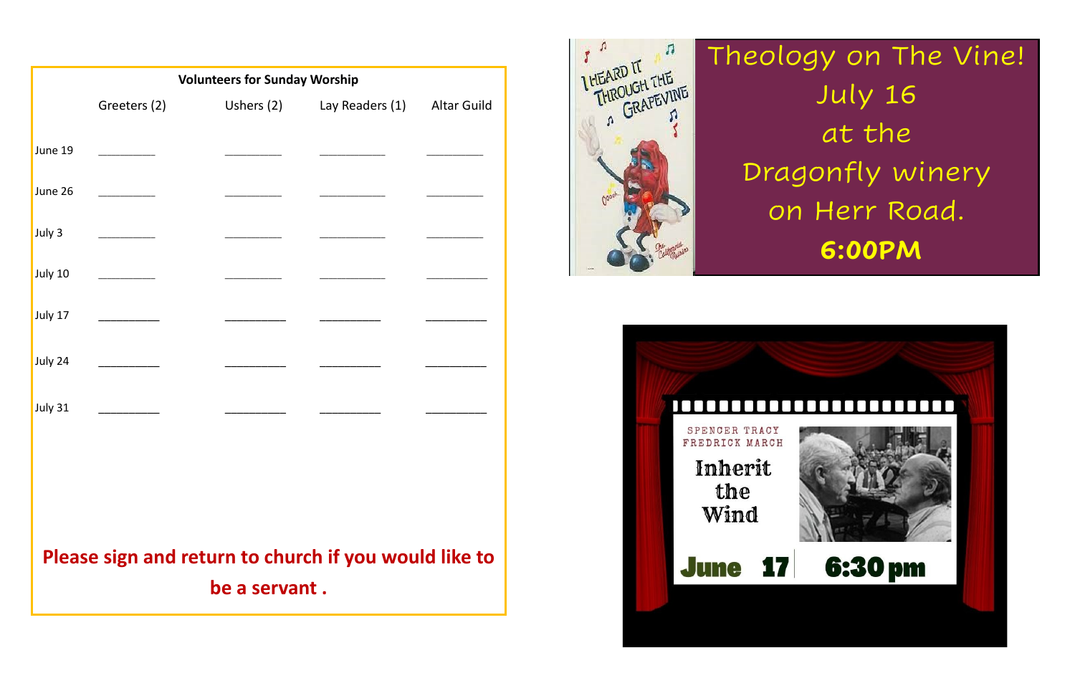| <b>Volunteers for Sunday Worship</b>                  |              |  |                            |                    |  |  |
|-------------------------------------------------------|--------------|--|----------------------------|--------------------|--|--|
|                                                       | Greeters (2) |  | Ushers (2) Lay Readers (1) | <b>Altar Guild</b> |  |  |
| June 19                                               |              |  |                            |                    |  |  |
| June 26                                               |              |  |                            |                    |  |  |
| July 3                                                |              |  |                            |                    |  |  |
| July 10                                               |              |  |                            |                    |  |  |
| July 17                                               |              |  |                            |                    |  |  |
| July 24                                               |              |  |                            |                    |  |  |
| July 31                                               |              |  |                            |                    |  |  |
|                                                       |              |  |                            |                    |  |  |
|                                                       |              |  |                            |                    |  |  |
|                                                       |              |  |                            |                    |  |  |
| Please sign and return to church if you would like to |              |  |                            |                    |  |  |
| be a servant.                                         |              |  |                            |                    |  |  |







Theology on The Vine! July 16 at the Dragonfly winery on Herr Road. **6:00PM**